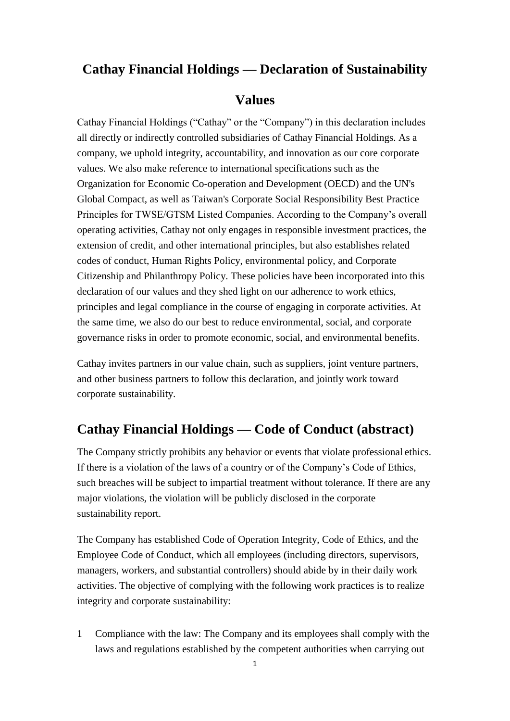#### **Cathay Financial Holdings — Declaration of Sustainability**

#### **Values**

Cathay Financial Holdings ("Cathay" or the "Company") in this declaration includes all directly or indirectly controlled subsidiaries of Cathay Financial Holdings. As a company, we uphold integrity, accountability, and innovation as our core corporate values. We also make reference to international specifications such as the Organization for Economic Co-operation and Development (OECD) and the UN's Global Compact, as well as Taiwan's Corporate Social Responsibility Best Practice Principles for TWSE/GTSM Listed Companies. According to the Company's overall operating activities, Cathay not only engages in responsible investment practices, the extension of credit, and other international principles, but also establishes related codes of conduct, Human Rights Policy, environmental policy, and Corporate Citizenship and Philanthropy Policy. These policies have been incorporated into this declaration of our values and they shed light on our adherence to work ethics, principles and legal compliance in the course of engaging in corporate activities. At the same time, we also do our best to reduce environmental, social, and corporate governance risks in order to promote economic, social, and environmental benefits.

Cathay invites partners in our value chain, such as suppliers, joint venture partners, and other business partners to follow this declaration, and jointly work toward corporate sustainability.

### **Cathay Financial Holdings — Code of Conduct (abstract)**

The Company strictly prohibits any behavior or events that violate professional ethics. If there is a violation of the laws of a country or of the Company's Code of Ethics, such breaches will be subject to impartial treatment without tolerance. If there are any major violations, the violation will be publicly disclosed in the corporate sustainability report.

The Company has established Code of Operation Integrity, Code of Ethics, and the Employee Code of Conduct, which all employees (including directors, supervisors, managers, workers, and substantial controllers) should abide by in their daily work activities. The objective of complying with the following work practices is to realize integrity and corporate sustainability:

1 Compliance with the law: The Company and its employees shall comply with the laws and regulations established by the competent authorities when carrying out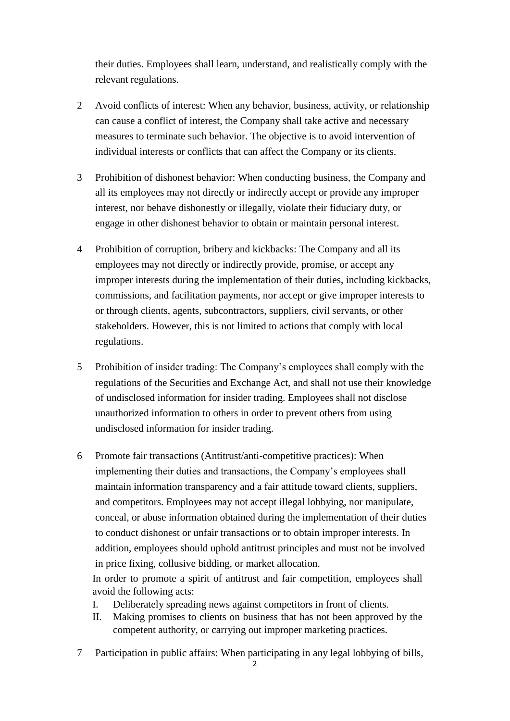their duties. Employees shall learn, understand, and realistically comply with the relevant regulations.

- 2 Avoid conflicts of interest: When any behavior, business, activity, or relationship can cause a conflict of interest, the Company shall take active and necessary measures to terminate such behavior. The objective is to avoid intervention of individual interests or conflicts that can affect the Company or its clients.
- 3 Prohibition of dishonest behavior: When conducting business, the Company and all its employees may not directly or indirectly accept or provide any improper interest, nor behave dishonestly or illegally, violate their fiduciary duty, or engage in other dishonest behavior to obtain or maintain personal interest.
- 4 Prohibition of corruption, bribery and kickbacks: The Company and all its employees may not directly or indirectly provide, promise, or accept any improper interests during the implementation of their duties, including kickbacks, commissions, and facilitation payments, nor accept or give improper interests to or through clients, agents, subcontractors, suppliers, civil servants, or other stakeholders. However, this is not limited to actions that comply with local regulations.
- 5 Prohibition of insider trading: The Company's employees shall comply with the regulations of the Securities and Exchange Act, and shall not use their knowledge of undisclosed information for insider trading. Employees shall not disclose unauthorized information to others in order to prevent others from using undisclosed information for insider trading.
- 6 Promote fair transactions (Antitrust/anti-competitive practices): When implementing their duties and transactions, the Company's employees shall maintain information transparency and a fair attitude toward clients, suppliers, and competitors. Employees may not accept illegal lobbying, nor manipulate, conceal, or abuse information obtained during the implementation of their duties to conduct dishonest or unfair transactions or to obtain improper interests. In addition, employees should uphold antitrust principles and must not be involved in price fixing, collusive bidding, or market allocation.

In order to promote a spirit of antitrust and fair competition, employees shall avoid the following acts:

- I. Deliberately spreading news against competitors in front of clients.
- II. Making promises to clients on business that has not been approved by the competent authority, or carrying out improper marketing practices.
- 7 Participation in public affairs: When participating in any legal lobbying of bills,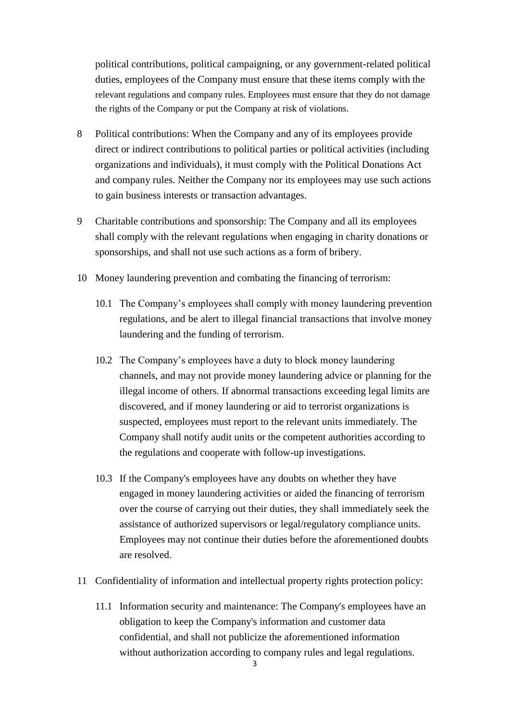political contributions, political campaigning, or any government-related political duties, employees of the Company must ensure that these items comply with the relevant regulations and company rules. Employees must ensure that they do not damage the rights of the Company or put the Company at risk of violations.

- 8 Political contributions: When the Company and any of its employees provide direct or indirect contributions to political parties or political activities (including organizations and individuals), it must comply with the Political Donations Act and company rules. Neither the Company nor its employees may use such actions to gain business interests or transaction advantages.
- 9 Charitable contributions and sponsorship: The Company and all its employees shall comply with the relevant regulations when engaging in charity donations or sponsorships, and shall not use such actions as a form of bribery.
- 10 Money laundering prevention and combating the financing of terrorism:
	- 10.1 The Company's employees shall comply with money laundering prevention regulations, and be alert to illegal financial transactions that involve money laundering and the funding of terrorism.
	- 10.2 The Company's employees have a duty to block money laundering channels, and may not provide money laundering advice or planning for the illegal income of others. If abnormal transactions exceeding legal limits are discovered, and if money laundering or aid to terrorist organizations is suspected, employees must report to the relevant units immediately. The Company shall notify audit units or the competent authorities according to the regulations and cooperate with follow-up investigations.
	- 10.3 If the Company's employees have any doubts on whether they have engaged in money laundering activities or aided the financing of terrorism over the course of carrying out their duties, they shall immediately seek the assistance of authorized supervisors or legal/regulatory compliance units. Employees may not continue their duties before the aforementioned doubts are resolved.
- 11 Confidentiality of information and intellectual property rights protection policy:
	- 11.1 Information security and maintenance: The Company's employees have an obligation to keep the Company's information and customer data confidential, and shall not publicize the aforementioned information without authorization according to company rules and legal regulations.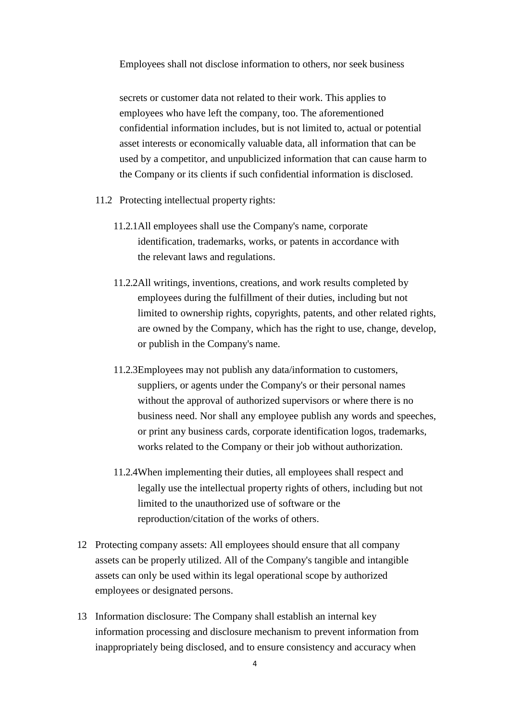Employees shall not disclose information to others, nor seek business

secrets or customer data not related to their work. This applies to employees who have left the company, too. The aforementioned confidential information includes, but is not limited to, actual or potential asset interests or economically valuable data, all information that can be used by a competitor, and unpublicized information that can cause harm to the Company or its clients if such confidential information is disclosed.

- 11.2 Protecting intellectual property rights:
	- 11.2.1All employees shall use the Company's name, corporate identification, trademarks, works, or patents in accordance with the relevant laws and regulations.
	- 11.2.2All writings, inventions, creations, and work results completed by employees during the fulfillment of their duties, including but not limited to ownership rights, copyrights, patents, and other related rights, are owned by the Company, which has the right to use, change, develop, or publish in the Company's name.
	- 11.2.3Employees may not publish any data/information to customers, suppliers, or agents under the Company's or their personal names without the approval of authorized supervisors or where there is no business need. Nor shall any employee publish any words and speeches, or print any business cards, corporate identification logos, trademarks, works related to the Company or their job without authorization.
	- 11.2.4When implementing their duties, all employees shall respect and legally use the intellectual property rights of others, including but not limited to the unauthorized use of software or the reproduction/citation of the works of others.
- 12 Protecting company assets: All employees should ensure that all company assets can be properly utilized. All of the Company's tangible and intangible assets can only be used within its legal operational scope by authorized employees or designated persons.
- 13 Information disclosure: The Company shall establish an internal key information processing and disclosure mechanism to prevent information from inappropriately being disclosed, and to ensure consistency and accuracy when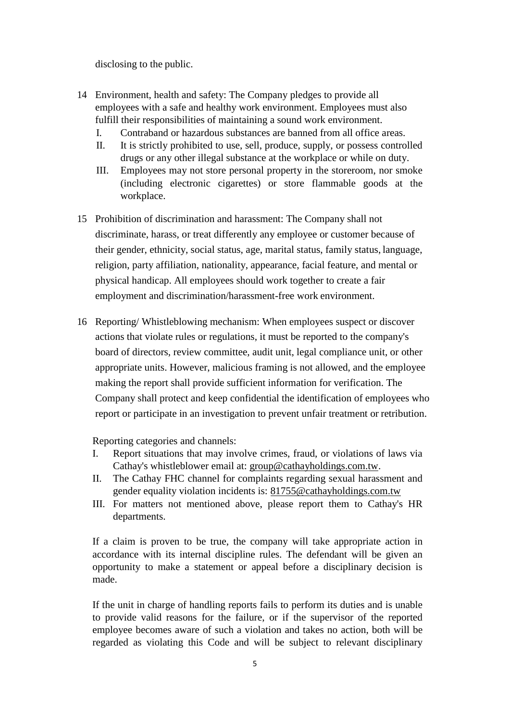disclosing to the public.

- 14 Environment, health and safety: The Company pledges to provide all employees with a safe and healthy work environment. Employees must also fulfill their responsibilities of maintaining a sound work environment.
	- I. Contraband or hazardous substances are banned from all office areas.
	- II. It is strictly prohibited to use, sell, produce, supply, or possess controlled drugs or any other illegal substance at the workplace or while on duty.
	- III. Employees may not store personal property in the storeroom, nor smoke (including electronic cigarettes) or store flammable goods at the workplace.
- 15 Prohibition of discrimination and harassment: The Company shall not discriminate, harass, or treat differently any employee or customer because of their gender, ethnicity, social status, age, marital status, family status, language, religion, party affiliation, nationality, appearance, facial feature, and mental or physical handicap. All employees should work together to create a fair employment and discrimination/harassment-free work environment.
- 16 Reporting/ Whistleblowing mechanism: When employees suspect or discover actions that violate rules or regulations, it must be reported to the company's board of directors, review committee, audit unit, legal compliance unit, or other appropriate units. However, malicious framing is not allowed, and the employee making the report shall provide sufficient information for verification. The Company shall protect and keep confidential the identification of employees who report or participate in an investigation to prevent unfair treatment or retribution.

Reporting categories and channels:

- I. Report situations that may involve crimes, fraud, or violations of laws via Cathay's whistleblower email at: [group@cathayholdings.com.tw.](mailto:group@cathayholdings.com.tw)
- II. The Cathay FHC channel for complaints regarding sexual harassment and gender equality violation incidents is: [81755@cathayholdings.com.tw](mailto:81755@cathayholdings.com.tw)
- III. For matters not mentioned above, please report them to Cathay's HR departments.

If a claim is proven to be true, the company will take appropriate action in accordance with its internal discipline rules. The defendant will be given an opportunity to make a statement or appeal before a disciplinary decision is made.

If the unit in charge of handling reports fails to perform its duties and is unable to provide valid reasons for the failure, or if the supervisor of the reported employee becomes aware of such a violation and takes no action, both will be regarded as violating this Code and will be subject to relevant disciplinary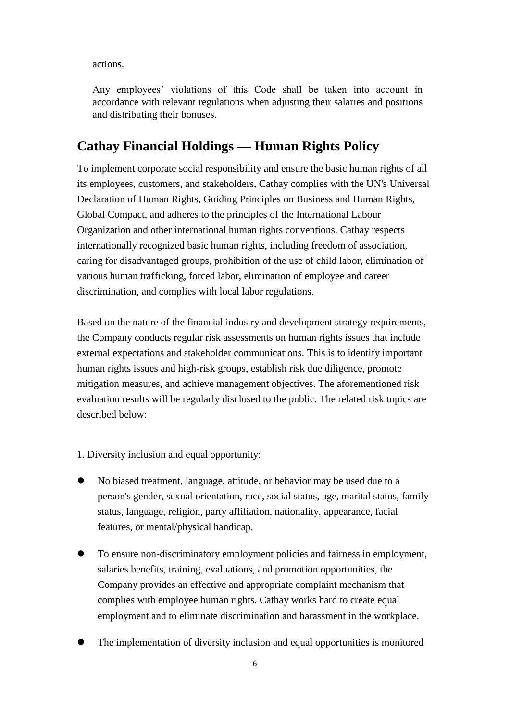actions.

Any employees' violations of this Code shall be taken into account in accordance with relevant regulations when adjusting their salaries and positions and distributing their bonuses.

### **Cathay Financial Holdings — Human Rights Policy**

To implement corporate social responsibility and ensure the basic human rights of all its employees, customers, and stakeholders, Cathay complies with the UN's Universal Declaration of Human Rights, Guiding Principles on Business and Human Rights, Global Compact, and adheres to the principles of the International Labour Organization and other international human rights conventions. Cathay respects internationally recognized basic human rights, including freedom of association, caring for disadvantaged groups, prohibition of the use of child labor, elimination of various human trafficking, forced labor, elimination of employee and career discrimination, and complies with local labor regulations.

Based on the nature of the financial industry and development strategy requirements, the Company conducts regular risk assessments on human rights issues that include external expectations and stakeholder communications. This is to identify important human rights issues and high-risk groups, establish risk due diligence, promote mitigation measures, and achieve management objectives. The aforementioned risk evaluation results will be regularly disclosed to the public. The related risk topics are described below:

- 1. Diversity inclusion and equal opportunity:
- No biased treatment, language, attitude, or behavior may be used due to a person's gender, sexual orientation, race, social status, age, marital status, family status, language, religion, party affiliation, nationality, appearance, facial features, or mental/physical handicap.
- To ensure non-discriminatory employment policies and fairness in employment, salaries benefits, training, evaluations, and promotion opportunities, the Company provides an effective and appropriate complaint mechanism that complies with employee human rights. Cathay works hard to create equal employment and to eliminate discrimination and harassment in the workplace.
- The implementation of diversity inclusion and equal opportunities is monitored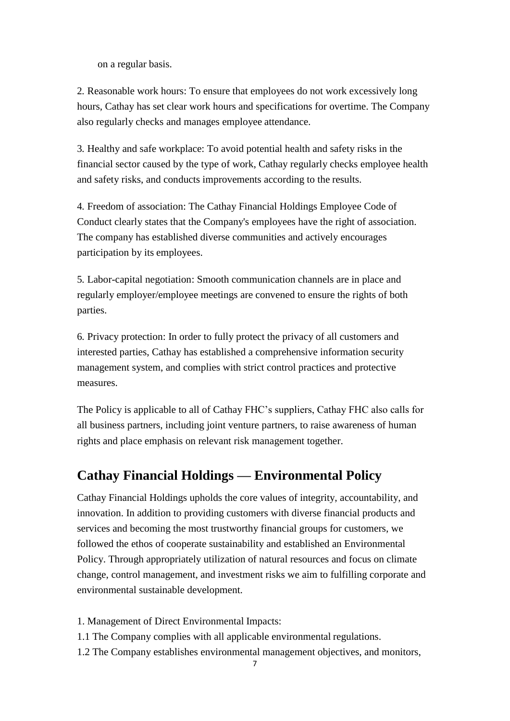on a regular basis.

2. Reasonable work hours: To ensure that employees do not work excessively long hours, Cathay has set clear work hours and specifications for overtime. The Company also regularly checks and manages employee attendance.

3. Healthy and safe workplace: To avoid potential health and safety risks in the financial sector caused by the type of work, Cathay regularly checks employee health and safety risks, and conducts improvements according to the results.

4. Freedom of association: The Cathay Financial Holdings Employee Code of Conduct clearly states that the Company's employees have the right of association. The company has established diverse communities and actively encourages participation by its employees.

5. Labor-capital negotiation: Smooth communication channels are in place and regularly employer/employee meetings are convened to ensure the rights of both parties.

6. Privacy protection: In order to fully protect the privacy of all customers and interested parties, Cathay has established a comprehensive information security management system, and complies with strict control practices and protective measures.

The Policy is applicable to all of Cathay FHC's suppliers, Cathay FHC also calls for all business partners, including joint venture partners, to raise awareness of human rights and place emphasis on relevant risk management together.

## **Cathay Financial Holdings — Environmental Policy**

Cathay Financial Holdings upholds the core values of integrity, accountability, and innovation. In addition to providing customers with diverse financial products and services and becoming the most trustworthy financial groups for customers, we followed the ethos of cooperate sustainability and established an Environmental Policy. Through appropriately utilization of natural resources and focus on climate change, control management, and investment risks we aim to fulfilling corporate and environmental sustainable development.

- 1. Management of Direct Environmental Impacts:
- 1.1 The Company complies with all applicable environmental regulations.
- 1.2 The Company establishes environmental management objectives, and monitors,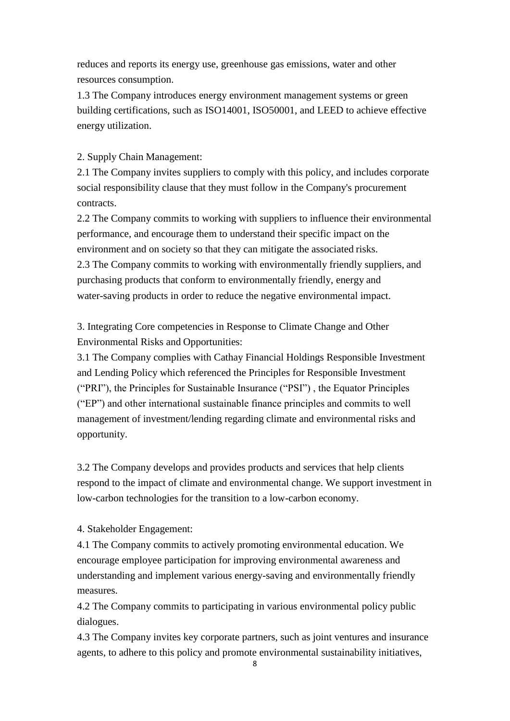reduces and reports its energy use, greenhouse gas emissions, water and other resources consumption.

1.3 The Company introduces energy environment management systems or green building certifications, such as ISO14001, ISO50001, and LEED to achieve effective energy utilization.

#### 2. Supply Chain Management:

2.1 The Company invites suppliers to comply with this policy, and includes corporate social responsibility clause that they must follow in the Company's procurement contracts.

2.2 The Company commits to working with suppliers to influence their environmental performance, and encourage them to understand their specific impact on the environment and on society so that they can mitigate the associated risks.

2.3 The Company commits to working with environmentally friendly suppliers, and purchasing products that conform to environmentally friendly, energy and water-saving products in order to reduce the negative environmental impact.

3. Integrating Core competencies in Response to Climate Change and Other Environmental Risks and Opportunities:

3.1 The Company complies with Cathay Financial Holdings Responsible Investment and Lending Policy which referenced the Principles for Responsible Investment ("PRI"), the Principles for Sustainable Insurance ("PSI") , the Equator Principles ("EP") and other international sustainable finance principles and commits to well management of investment/lending regarding climate and environmental risks and opportunity.

3.2 The Company develops and provides products and services that help clients respond to the impact of climate and environmental change. We support investment in low-carbon technologies for the transition to a low-carbon economy.

4. Stakeholder Engagement:

4.1 The Company commits to actively promoting environmental education. We encourage employee participation for improving environmental awareness and understanding and implement various energy-saving and environmentally friendly measures.

4.2 The Company commits to participating in various environmental policy public dialogues.

4.3 The Company invites key corporate partners, such as joint ventures and insurance agents, to adhere to this policy and promote environmental sustainability initiatives,